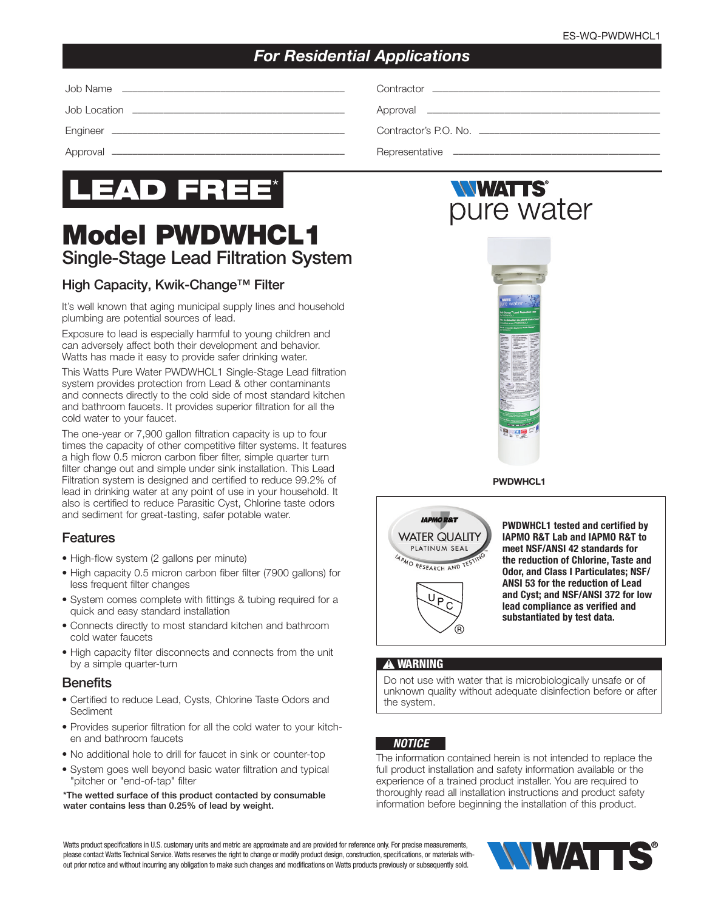# *For Residential Applications*

Job Name ––––––––––––––––––––––––––––––––––––––––––– Contractor ––––––––––––––––––––––––––––––––––––––––––––

Job Location ––––––––––––––––––––––––––––––––––––––––– Approval –––––––––––––––––––––––––––––––––––––––––––––

Engineer ––––––––––––––––––––––––––––––––––––––––––––– Contractor's P.O. No. –––––––––––––––––––––––––––––––––––

Approval ––––––––––––––––––––––––––––––––––––––––––––– Representative ––––––––––––––––––––––––––––––––––––––––



# Model PWDWHCL1 Single-Stage Lead Filtration System

## High Capacity, Kwik-Change™ Filter

It's well known that aging municipal supply lines and household plumbing are potential sources of lead.

Exposure to lead is especially harmful to young children and can adversely affect both their development and behavior. Watts has made it easy to provide safer drinking water.

This Watts Pure Water PWDWHCL1 Single-Stage Lead filtration system provides protection from Lead & other contaminants and connects directly to the cold side of most standard kitchen and bathroom faucets. It provides superior filtration for all the cold water to your faucet.

The one-year or 7,900 gallon filtration capacity is up to four times the capacity of other competitive filter systems. It features a high flow 0.5 micron carbon fiber filter, simple quarter turn filter change out and simple under sink installation. This Lead Filtration system is designed and certified to reduce 99.2% of lead in drinking water at any point of use in your household. It also is certified to reduce Parasitic Cyst, Chlorine taste odors and sediment for great-tasting, safer potable water.

### Features

- High-flow system (2 gallons per minute)
- High capacity 0.5 micron carbon fiber filter (7900 gallons) for less frequent filter changes
- System comes complete with fittings & tubing required for a quick and easy standard installation
- Connects directly to most standard kitchen and bathroom cold water faucets
- High capacity filter disconnects and connects from the unit by a simple quarter-turn

#### **Benefits**

- Certified to reduce Lead, Cysts, Chlorine Taste Odors and Sediment
- Provides superior filtration for all the cold water to your kitchen and bathroom faucets
- No additional hole to drill for faucet in sink or counter-top
- System goes well beyond basic water filtration and typical "pitcher or "end-of-tap" filter

\*The wetted surface of this product contacted by consumable water contains less than 0.25% of lead by weight.

# *NWATTS®* pure water



PWDWHCL1



PWDWHCL1 tested and certified by IAPMO R&T Lab and IAPMO R&T to meet NSF/ANSI 42 standards for the reduction of Chlorine, Taste and Odor, and Class I Particulates; NSF/ ANSI 53 for the reduction of Lead and Cyst; and NSF/ANSI 372 for low lead compliance as verified and substantiated by test data.

#### **!** WARNING

Do not use with water that is microbiologically unsafe or of unknown quality without adequate disinfection before or after the system.

#### *NOTICE*

The information contained herein is not intended to replace the full product installation and safety information available or the experience of a trained product installer. You are required to thoroughly read all installation instructions and product safety information before beginning the installation of this product.

Watts product specifications in U.S. customary units and metric are approximate and are provided for reference only. For precise measurements, please contact Watts Technical Service. Watts reserves the right to change or modify product design, construction, specifications, or materials without prior notice and without incurring any obligation to make such changes and modifications on Watts products previously or subsequently sold.